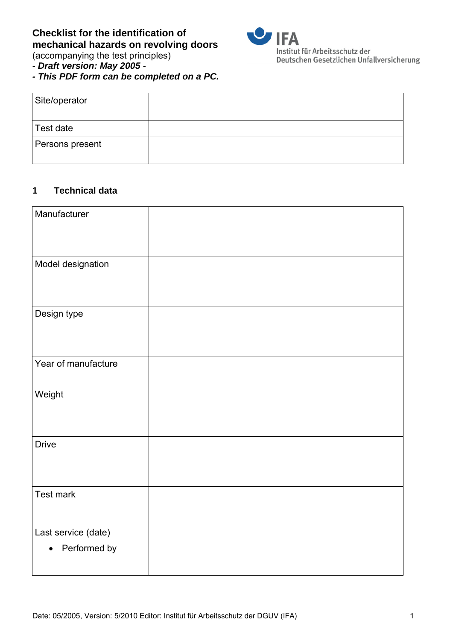

Deutschen Gesetzlichen Unfallversicherung

(accompanying the test principles)

*- Draft version: May 2005 -* 

*- This PDF form can be completed on a PC.* 

| Site/operator   |  |
|-----------------|--|
| Test date       |  |
| Persons present |  |

# **1 Technical data**

| Manufacturer                        |  |
|-------------------------------------|--|
| Model designation                   |  |
| Design type                         |  |
| Year of manufacture                 |  |
| Weight                              |  |
| <b>Drive</b>                        |  |
| Test mark                           |  |
| Last service (date)<br>Performed by |  |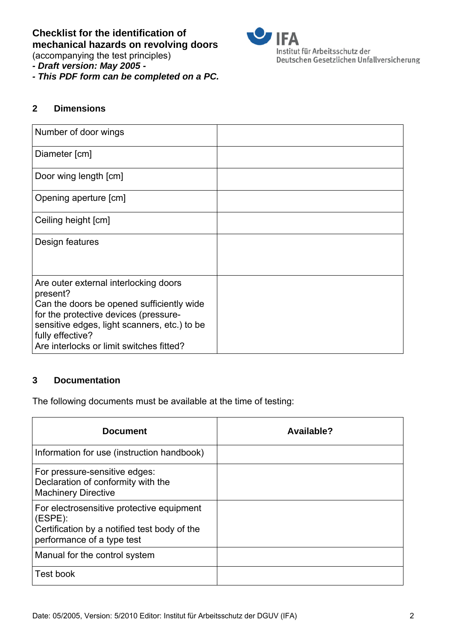(accompanying the test principles)

*- Draft version: May 2005 -* 

*- This PDF form can be completed on a PC.* 



### **2 Dimensions**

| Number of door wings                                                                                                                                                                                                                                    |  |
|---------------------------------------------------------------------------------------------------------------------------------------------------------------------------------------------------------------------------------------------------------|--|
| Diameter [cm]                                                                                                                                                                                                                                           |  |
| Door wing length [cm]                                                                                                                                                                                                                                   |  |
| Opening aperture [cm]                                                                                                                                                                                                                                   |  |
| Ceiling height [cm]                                                                                                                                                                                                                                     |  |
| Design features                                                                                                                                                                                                                                         |  |
|                                                                                                                                                                                                                                                         |  |
| Are outer external interlocking doors<br>present?<br>Can the doors be opened sufficiently wide<br>for the protective devices (pressure-<br>sensitive edges, light scanners, etc.) to be<br>fully effective?<br>Are interlocks or limit switches fitted? |  |

# **3** Documentation

The following documents must be available at the time of testing:

| <b>Document</b>                                                                                                                    | Available? |
|------------------------------------------------------------------------------------------------------------------------------------|------------|
| Information for use (instruction handbook)                                                                                         |            |
| For pressure-sensitive edges:<br>Declaration of conformity with the<br><b>Machinery Directive</b>                                  |            |
| For electrosensitive protective equipment<br>(ESPE):<br>Certification by a notified test body of the<br>performance of a type test |            |
| Manual for the control system                                                                                                      |            |
| Test book                                                                                                                          |            |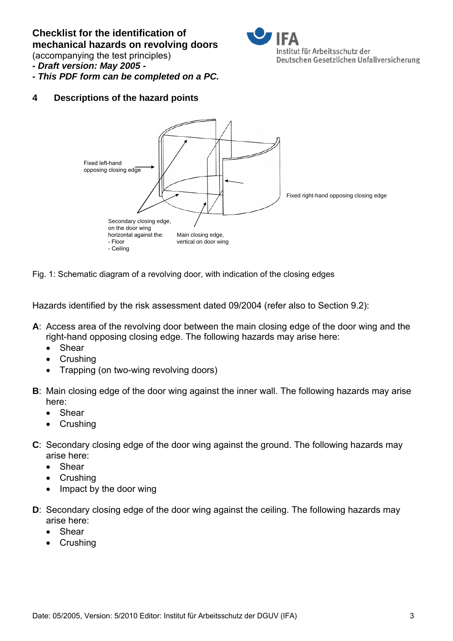(accompanying the test principles)



- *Draft version: May 2005*
- *This PDF form can be completed on a PC.*

**4** 3B**Descriptions of the hazard points** 



Fig. 1: Schematic diagram of a revolving door, with indication of the closing edges

Hazards identified by the risk assessment dated 09/2004 (refer also to Section 9.2):

- **A**: Access area of the revolving door between the main closing edge of the door wing and the right-hand opposing closing edge. The following hazards may arise here:
	- Shear
	- Crushing
	- Trapping (on two-wing revolving doors)
- **B**: Main closing edge of the door wing against the inner wall. The following hazards may arise here:
	- Shear
	- Crushing
- **C**: Secondary closing edge of the door wing against the ground. The following hazards may arise here:
	- Shear
	- Crushing
	- Impact by the door wing
- **D**: Secondary closing edge of the door wing against the ceiling. The following hazards may arise here:
	- Shear
	- Crushing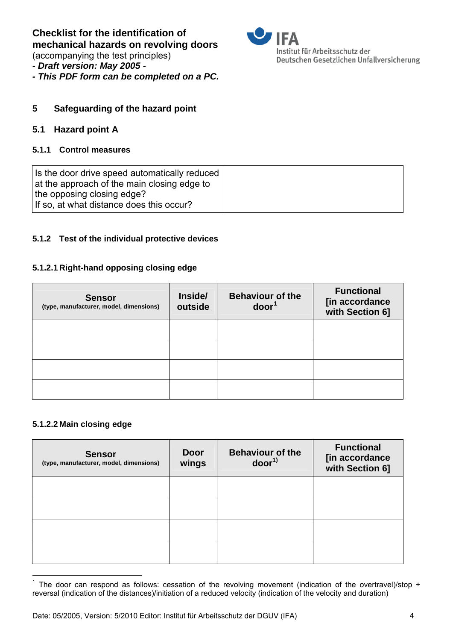(accompanying the test principles)

- *Draft version: May 2005*
- *This PDF form can be completed on a PC.*



### **5** Safeguarding of the hazard point

#### **5.1 Hazard point A**

#### **5.1.1 Control measures**

| Is the door drive speed automatically reduced<br>at the approach of the main closing edge to |  |
|----------------------------------------------------------------------------------------------|--|
| the opposing closing edge?<br>If so, at what distance does this occur?                       |  |

#### **5.1.2** Test of the individual protective devices

#### **5.1.2.1 Right-hand opposing closing edge**

| <b>Sensor</b><br>(type, manufacturer, model, dimensions) | Inside/<br>outside | <b>Behaviour of the</b><br>door <sup>1</sup> | <b>Functional</b><br>[in accordance<br>with Section 6] |
|----------------------------------------------------------|--------------------|----------------------------------------------|--------------------------------------------------------|
|                                                          |                    |                                              |                                                        |
|                                                          |                    |                                              |                                                        |
|                                                          |                    |                                              |                                                        |
|                                                          |                    |                                              |                                                        |

#### **5.1.2.2 Main closing edge**

| <b>Sensor</b><br>(type, manufacturer, model, dimensions) | <b>Door</b><br>wings | <b>Behaviour of the</b><br>door <sup>1</sup> | <b>Functional</b><br>[in accordance<br>with Section 6] |
|----------------------------------------------------------|----------------------|----------------------------------------------|--------------------------------------------------------|
|                                                          |                      |                                              |                                                        |
|                                                          |                      |                                              |                                                        |
|                                                          |                      |                                              |                                                        |
|                                                          |                      |                                              |                                                        |

 $\overline{a}$ <sup>1</sup> The door can respond as follows: cessation of the revolving movement (indication of the overtravel)/stop + reversal (indication of the distances)/initiation of a reduced velocity (indication of the velocity and duration)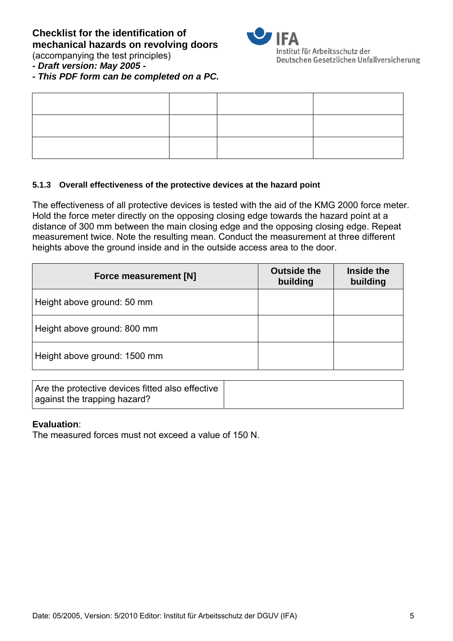

Institut für Arbeitsschutz der Deutschen Gesetzlichen Unfallversicherung

(accompanying the test principles)

# *- Draft version: May 2005 -*

*- This PDF form can be completed on a PC.* 

### **5.1.3** Overall effectiveness of the protective devices at the hazard point

The effectiveness of all protective devices is tested with the aid of the KMG 2000 force meter. Hold the force meter directly on the opposing closing edge towards the hazard point at a distance of 300 mm between the main closing edge and the opposing closing edge. Repeat measurement twice. Note the resulting mean. Conduct the measurement at three different heights above the ground inside and in the outside access area to the door.

| Force measurement [N]        | <b>Outside the</b><br>building | Inside the<br>building |
|------------------------------|--------------------------------|------------------------|
| Height above ground: 50 mm   |                                |                        |
| Height above ground: 800 mm  |                                |                        |
| Height above ground: 1500 mm |                                |                        |

| Are the protective devices fitted also effective |  |
|--------------------------------------------------|--|
| against the trapping hazard?                     |  |

#### **Evaluation**:

The measured forces must not exceed a value of 150 N.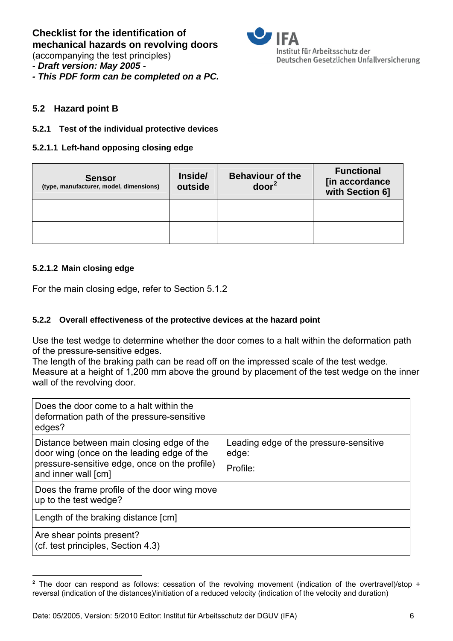(accompanying the test principles)

*- Draft version: May 2005 -* 

*- This PDF form can be completed on a PC.* 



### **5.2 Hazard point B**

#### **5.2.1 Test of the individual protective devices**

#### **5.2.1.1 Left-hand opposing closing edge**

| <b>Sensor</b><br>(type, manufacturer, model, dimensions) | Inside/<br>outside | <b>Behaviour of the</b><br>door <sup>2</sup> | <b>Functional</b><br>[in accordance<br>with Section 6] |
|----------------------------------------------------------|--------------------|----------------------------------------------|--------------------------------------------------------|
|                                                          |                    |                                              |                                                        |
|                                                          |                    |                                              |                                                        |

### **5.2.1.2 Main closing edge**

 $\overline{a}$ 

For the main closing edge, refer to Section 5.1.2

#### **5.2.2** Overall effectiveness of the protective devices at the hazard point

Use the test wedge to determine whether the door comes to a halt within the deformation path of the pressure-sensitive edges.

The length of the braking path can be read off on the impressed scale of the test wedge. Measure at a height of 1,200 mm above the ground by placement of the test wedge on the inner wall of the revolving door.

| Does the door come to a halt within the<br>deformation path of the pressure-sensitive<br>edges? |                                                 |
|-------------------------------------------------------------------------------------------------|-------------------------------------------------|
| Distance between main closing edge of the<br>door wing (once on the leading edge of the         | Leading edge of the pressure-sensitive<br>edge: |
| pressure-sensitive edge, once on the profile)<br>and inner wall [cm]                            | Profile:                                        |
| Does the frame profile of the door wing move<br>up to the test wedge?                           |                                                 |
| Length of the braking distance [cm]                                                             |                                                 |
| Are shear points present?<br>(cf. test principles, Section 4.3)                                 |                                                 |

<sup>&</sup>lt;sup>2</sup> The door can respond as follows: cessation of the revolving movement (indication of the overtravel)/stop + reversal (indication of the distances)/initiation of a reduced velocity (indication of the velocity and duration)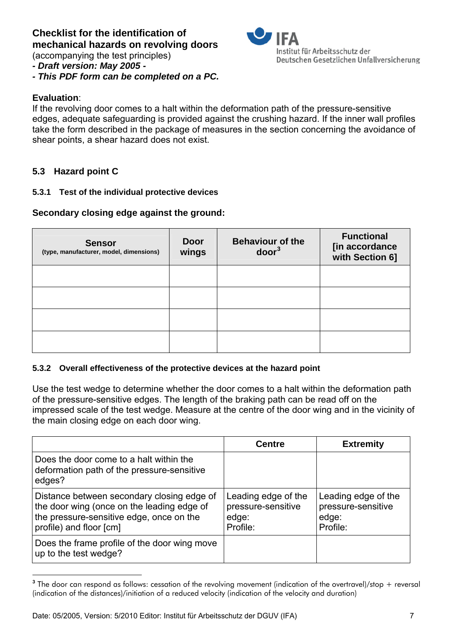(accompanying the test principles)

*- Draft version: May 2005 -* 

*- This PDF form can be completed on a PC.* 

#### **Evaluation**:

 $\overline{a}$ 

If the revolving door comes to a halt within the deformation path of the pressure-sensitive edges, adequate safeguarding is provided against the crushing hazard. If the inner wall profiles take the form described in the package of measures in the section concerning the avoidance of shear points, a shear hazard does not exist.

## **5.3 Hazard point C**

#### **5.3.1 Test of the individual protective devices**

## **Secondary closing edge against the ground:**

| <b>Sensor</b><br>(type, manufacturer, model, dimensions) | <b>Door</b><br>wings | <b>Behaviour of the</b><br>door <sup>3</sup> | <b>Functional</b><br>[in accordance<br>with Section 6] |
|----------------------------------------------------------|----------------------|----------------------------------------------|--------------------------------------------------------|
|                                                          |                      |                                              |                                                        |
|                                                          |                      |                                              |                                                        |
|                                                          |                      |                                              |                                                        |
|                                                          |                      |                                              |                                                        |

#### **5.3.2 Overall effectiveness of the protective devices at the hazard point**

Use the test wedge to determine whether the door comes to a halt within the deformation path of the pressure-sensitive edges. The length of the braking path can be read off on the impressed scale of the test wedge. Measure at the centre of the door wing and in the vicinity of the main closing edge on each door wing.

|                                                                                                                                                                 | <b>Centre</b>                                                  | <b>Extremity</b>                                               |
|-----------------------------------------------------------------------------------------------------------------------------------------------------------------|----------------------------------------------------------------|----------------------------------------------------------------|
| Does the door come to a halt within the<br>deformation path of the pressure-sensitive<br>edges?                                                                 |                                                                |                                                                |
| Distance between secondary closing edge of<br>the door wing (once on the leading edge of<br>the pressure-sensitive edge, once on the<br>profile) and floor [cm] | Leading edge of the<br>pressure-sensitive<br>edge:<br>Profile: | Leading edge of the<br>pressure-sensitive<br>edge:<br>Profile: |
| Does the frame profile of the door wing move<br>up to the test wedge?                                                                                           |                                                                |                                                                |

<sup>&</sup>lt;sup>3</sup> The door can respond as follows: cessation of the revolving movement (indication of the overtravel)/stop + reversal (indication of the distances)/initiation of a reduced velocity (indication of the velocity and duration)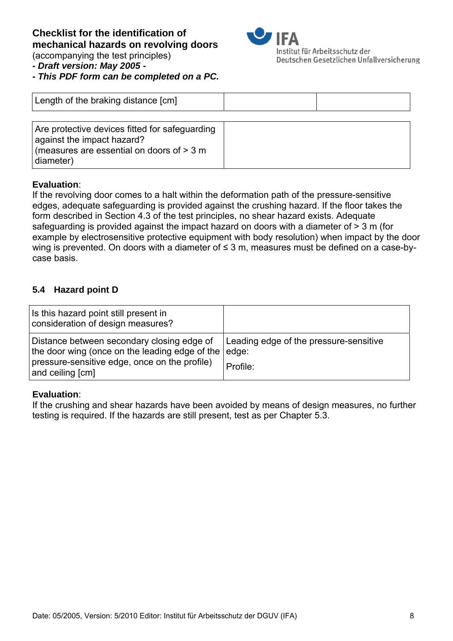#### **Checklist for the identification of mechanical hazards on revolving doors**  (accompanying the test principles)



Institut für Arbeitsschutz der Deutschen Gesetzlichen Unfallversicherung

*- Draft version: May 2005 -* 

*- This PDF form can be completed on a PC.* 

| Length of the braking distance [cm]                                                                                                      |  |
|------------------------------------------------------------------------------------------------------------------------------------------|--|
| Are protective devices fitted for safeguarding<br>against the impact hazard?<br>(measures are essential on doors of $>$ 3 m<br>diameter) |  |

#### **Evaluation**:

If the revolving door comes to a halt within the deformation path of the pressure-sensitive edges, adequate safeguarding is provided against the crushing hazard. If the floor takes the form described in Section 4.3 of the test principles, no shear hazard exists. Adequate safeguarding is provided against the impact hazard on doors with a diameter of > 3 m (for example by electrosensitive protective equipment with body resolution) when impact by the door wing is prevented. On doors with a diameter of ≤ 3 m, measures must be defined on a case-bycase basis.

## **5.4 Hazard point D**

| Is this hazard point still present in<br>consideration of design measures?                                                                                              |                                                    |
|-------------------------------------------------------------------------------------------------------------------------------------------------------------------------|----------------------------------------------------|
| Distance between secondary closing edge of<br>the door wing (once on the leading edge of the edge:<br>pressure-sensitive edge, once on the profile)<br>and ceiling [cm] | Leading edge of the pressure-sensitive<br>Profile: |

#### **Evaluation**:

If the crushing and shear hazards have been avoided by means of design measures, no further testing is required. If the hazards are still present, test as per Chapter 5.3.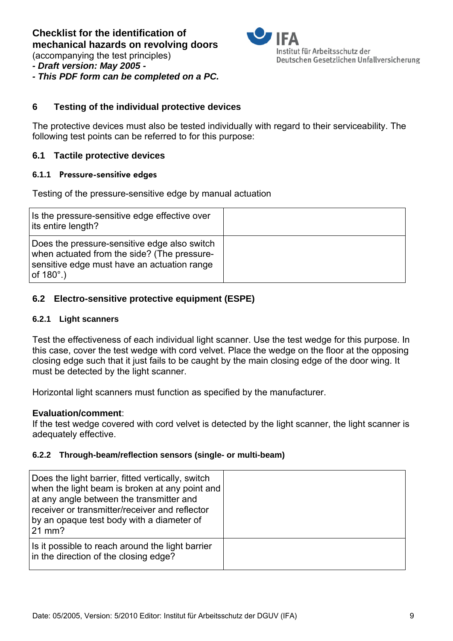(accompanying the test principles)



*- This PDF form can be completed on a PC.* 



#### **6** Testing of the individual protective devices

The protective devices must also be tested individually with regard to their serviceability. The following test points can be referred to for this purpose:

#### **6.1 Tactile protective devices**

#### **6.1.1 Pressure-sensitive edges**

Testing of the pressure-sensitive edge by manual actuation

| Is the pressure-sensitive edge effective over<br>its entire length?                                                                                             |  |
|-----------------------------------------------------------------------------------------------------------------------------------------------------------------|--|
| Does the pressure-sensitive edge also switch<br>when actuated from the side? (The pressure-<br>sensitive edge must have an actuation range<br>of $180^\circ$ .) |  |

#### **6.2 Electro-sensitive protective equipment (ESPE)**

#### **6.2.1 Light scanners**

Test the effectiveness of each individual light scanner. Use the test wedge for this purpose. In this case, cover the test wedge with cord velvet. Place the wedge on the floor at the opposing closing edge such that it just fails to be caught by the main closing edge of the door wing. It must be detected by the light scanner.

Horizontal light scanners must function as specified by the manufacturer.

#### **Evaluation/comment**:

If the test wedge covered with cord velvet is detected by the light scanner, the light scanner is adequately effective.

#### **6.2.2** Through-beam/reflection sensors (single- or multi-beam)

| Does the light barrier, fitted vertically, switch<br>when the light beam is broken at any point and<br>at any angle between the transmitter and<br>receiver or transmitter/receiver and reflector<br>by an opaque test body with a diameter of<br>21 mm? |  |
|----------------------------------------------------------------------------------------------------------------------------------------------------------------------------------------------------------------------------------------------------------|--|
| Is it possible to reach around the light barrier<br>in the direction of the closing edge?                                                                                                                                                                |  |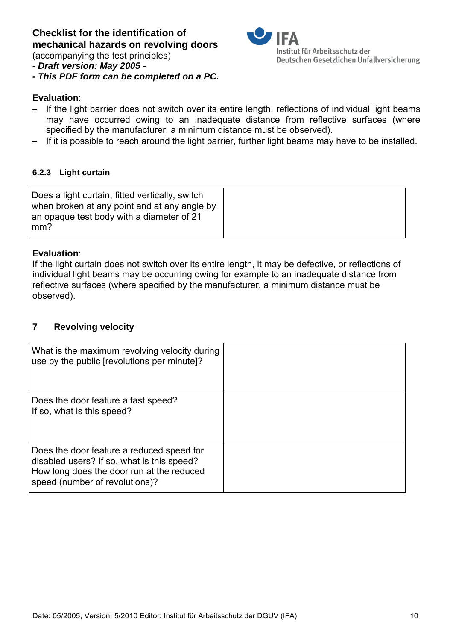(accompanying the test principles)



*- This PDF form can be completed on a PC.* 

# **Evaluation**:

− If the light barrier does not switch over its entire length, reflections of individual light beams may have occurred owing to an inadequate distance from reflective surfaces (where specified by the manufacturer, a minimum distance must be observed).

Institut für Arbeitsschutz der

Deutschen Gesetzlichen Unfallversicherung

− If it is possible to reach around the light barrier, further light beams may have to be installed.

#### **6.2.3** Light curtain

#### **Evaluation**:

If the light curtain does not switch over its entire length, it may be defective, or reflections of individual light beams may be occurring owing for example to an inadequate distance from reflective surfaces (where specified by the manufacturer, a minimum distance must be observed).

#### **7** Revolving velocity

| What is the maximum revolving velocity during<br>use by the public [revolutions per minute]?                                                                           |  |
|------------------------------------------------------------------------------------------------------------------------------------------------------------------------|--|
| Does the door feature a fast speed?<br>If so, what is this speed?                                                                                                      |  |
| Does the door feature a reduced speed for<br>disabled users? If so, what is this speed?<br>How long does the door run at the reduced<br>speed (number of revolutions)? |  |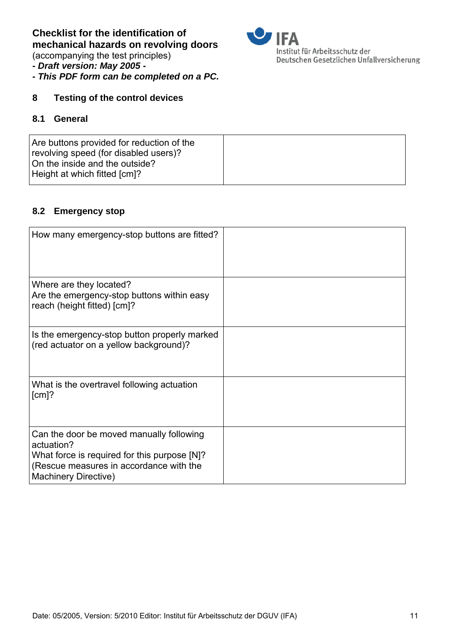(accompanying the test principles)

# *- Draft version: May 2005 -*

*- This PDF form can be completed on a PC.* 



## **8 Testing of the control devices**

#### 8.1 **General**

|  | Are buttons provided for reduction of the<br>revolving speed (for disabled users)?<br>On the inside and the outside?<br>Height at which fitted [cm]? |  |
|--|------------------------------------------------------------------------------------------------------------------------------------------------------|--|
|--|------------------------------------------------------------------------------------------------------------------------------------------------------|--|

#### **8.2 Emergency stop**

| How many emergency-stop buttons are fitted?                                                                                                                                      |  |
|----------------------------------------------------------------------------------------------------------------------------------------------------------------------------------|--|
| Where are they located?<br>Are the emergency-stop buttons within easy<br>reach (height fitted) [cm]?                                                                             |  |
| Is the emergency-stop button properly marked<br>(red actuator on a yellow background)?                                                                                           |  |
| What is the overtravel following actuation<br>$[cm]$ ?                                                                                                                           |  |
| Can the door be moved manually following<br>actuation?<br>What force is required for this purpose [N]?<br>(Rescue measures in accordance with the<br><b>Machinery Directive)</b> |  |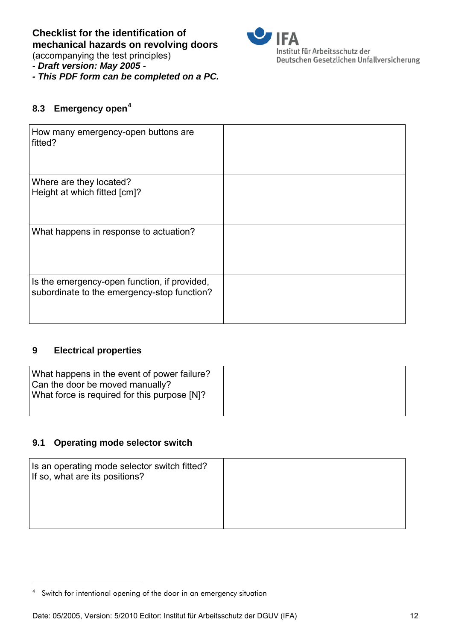(accompanying the test principles)

*- Draft version: May 2005 -* 

*- This PDF form can be completed on a PC.* 

# Institut für Arbeitsschutz der Deutschen Gesetzlichen Unfallversicherung

# 8.3 Emergency open<sup>4</sup>

| How many emergency-open buttons are<br>fitted?                                              |  |
|---------------------------------------------------------------------------------------------|--|
| Where are they located?<br>Height at which fitted [cm]?                                     |  |
| What happens in response to actuation?                                                      |  |
| Is the emergency-open function, if provided,<br>subordinate to the emergency-stop function? |  |

## **9 Electrical properties**

 $\overline{a}$ 

| What happens in the event of power failure?<br>Can the door be moved manually?<br>What force is required for this purpose [N]? |  |
|--------------------------------------------------------------------------------------------------------------------------------|--|
|                                                                                                                                |  |

## **9.1 Operating mode selector switch**

| Is an operating mode selector switch fitted?<br>If so, what are its positions? |  |
|--------------------------------------------------------------------------------|--|
|                                                                                |  |
|                                                                                |  |

<sup>4</sup> Switch for intentional opening of the door in an emergency situation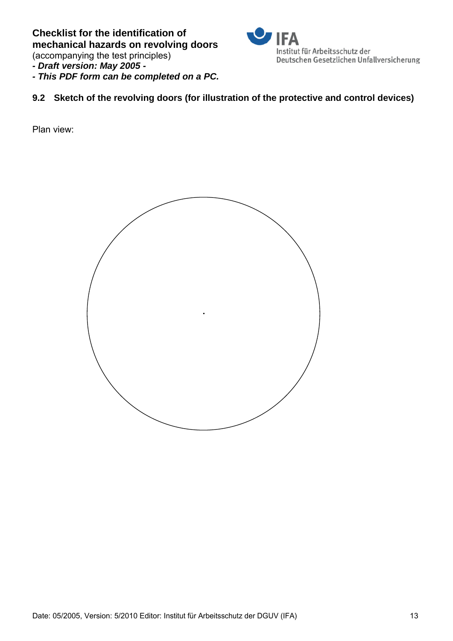(accompanying the test principles)

# *- Draft version: May 2005 -*

*- This PDF form can be completed on a PC.* 



# **9.2** Sketch of the revolving doors (for illustration of the protective and control devices)

Plan view:

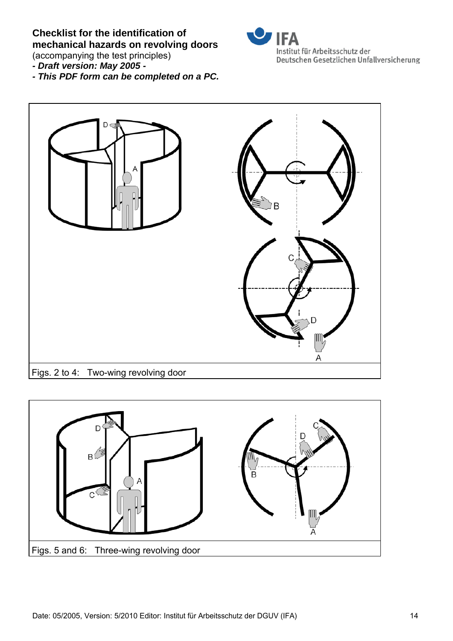(accompanying the test principles)

- *Draft version: May 2005*
- *This PDF form can be completed on a PC.*





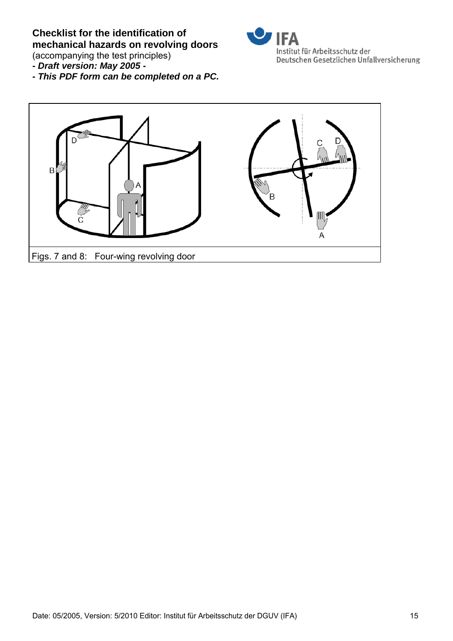

(accompanying the test principles)

*- Draft version: May 2005 -* 

*- This PDF form can be completed on a PC.*